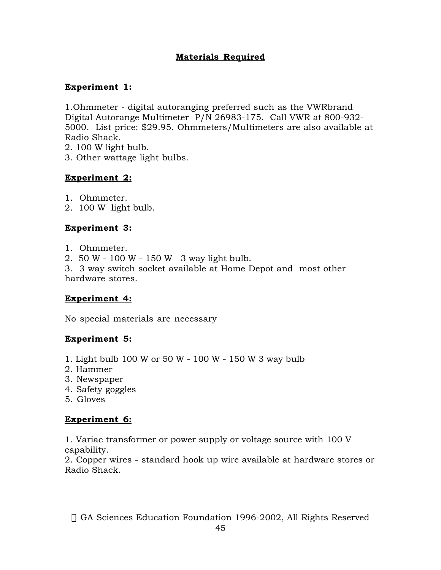## **Materials Required**

## **Experiment 1:**

1.Ohmmeter - digital autoranging preferred such as the VWRbrand Digital Autorange Multimeter P/N 26983-175. Call VWR at 800-932- 5000. List price: \$29.95. Ohmmeters/Multimeters are also available at Radio Shack.

- 2. 100 W light bulb.
- 3. Other wattage light bulbs.

## **Experiment 2:**

1. Ohmmeter.

2. 100 W light bulb.

## **Experiment 3:**

1. Ohmmeter.

2. 50 W - 100 W - 150 W 3 way light bulb.

3. 3 way switch socket available at Home Depot and most other hardware stores.

#### **Experiment 4:**

No special materials are necessary

#### **Experiment 5:**

- 1. Light bulb 100 W or 50 W 100 W 150 W 3 way bulb
- 2. Hammer
- 3. Newspaper
- 4. Safety goggles
- 5. Gloves

# **Experiment 6:**

1. Variac transformer or power supply or voltage source with 100 V capability.

2. Copper wires - standard hook up wire available at hardware stores or Radio Shack.

© GA Sciences Education Foundation 1996-2002, All Rights Reserved